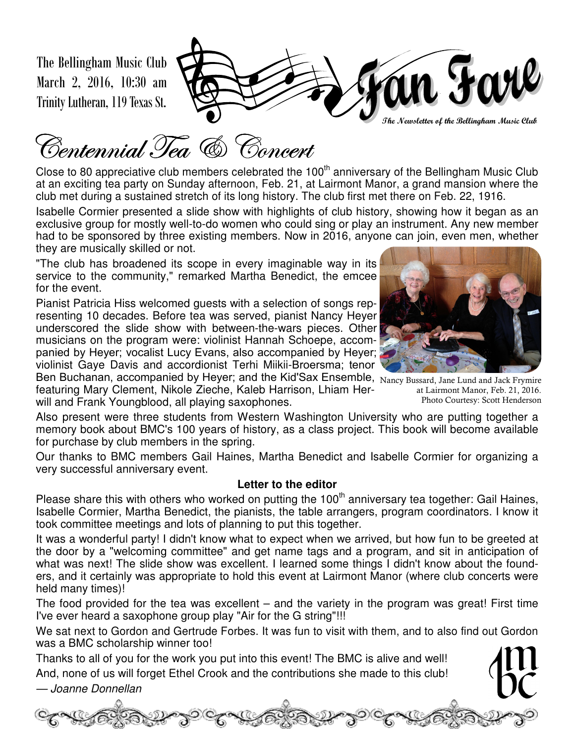The Bellingham Music Club March 2, 2016, 10:30 am Trinity Lutheran, 119 Texas St.



Centennial Tea & Concert

Close to 80 appreciative club members celebrated the 100<sup>th</sup> anniversary of the Bellingham Music Club at an exciting tea party on Sunday afternoon, Feb. 21, at Lairmont Manor, a grand mansion where the club met during a sustained stretch of its long history. The club first met there on Feb. 22, 1916.

Isabelle Cormier presented a slide show with highlights of club history, showing how it began as an exclusive group for mostly well-to-do women who could sing or play an instrument. Any new member had to be sponsored by three existing members. Now in 2016, anyone can join, even men, whether they are musically skilled or not.

"The club has broadened its scope in every imaginable way in its service to the community," remarked Martha Benedict, the emcee for the event.

Pianist Patricia Hiss welcomed guests with a selection of songs representing 10 decades. Before tea was served, pianist Nancy Heyer underscored the slide show with between-the-wars pieces. Other musicians on the program were: violinist Hannah Schoepe, accompanied by Heyer; vocalist Lucy Evans, also accompanied by Heyer; violinist Gaye Davis and accordionist Terhi Miikii-Broersma; tenor

Ben Buchanan, accompanied by Heyer; and the Kid'Sax Ensemble, Nancy Bussard, Jane Lund and Jack Frymire featuring Mary Clement, Nikole Zieche, Kaleb Harrison, Lhiam Herwill and Frank Youngblood, all playing saxophones.

at Lairmont Manor, Feb. 21, 2016. Photo Courtesy: Scott Henderson

Also present were three students from Western Washington University who are putting together a memory book about BMC's 100 years of history, as a class project. This book will become available for purchase by club members in the spring.

Our thanks to BMC members Gail Haines, Martha Benedict and Isabelle Cormier for organizing a very successful anniversary event.

#### **Letter to the editor**

Please share this with others who worked on putting the  $100<sup>th</sup>$  anniversary tea together: Gail Haines, Isabelle Cormier, Martha Benedict, the pianists, the table arrangers, program coordinators. I know it took committee meetings and lots of planning to put this together.

It was a wonderful party! I didn't know what to expect when we arrived, but how fun to be greeted at the door by a "welcoming committee" and get name tags and a program, and sit in anticipation of what was next! The slide show was excellent. I learned some things I didn't know about the founders, and it certainly was appropriate to hold this event at Lairmont Manor (where club concerts were held many times)!

The food provided for the tea was excellent – and the variety in the program was great! First time I've ever heard a saxophone group play "Air for the G string"!!!

We sat next to Gordon and Gertrude Forbes. It was fun to visit with them, and to also find out Gordon was a BMC scholarship winner too!

Thanks to all of you for the work you put into this event! The BMC is alive and well! And, none of us will forget Ethel Crook and the contributions she made to this club!

— Joanne Donnellan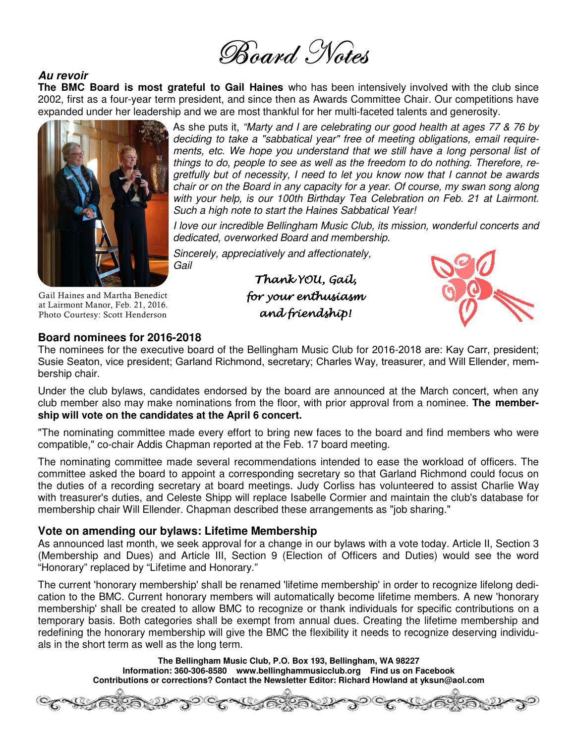

#### **Au revoir**

**The BMC Board is most grateful to Gail Haines** who has been intensively involved with the club since 2002, first as a four-year term president, and since then as Awards Committee Chair. Our competitions have expanded under her leadership and we are most thankful for her multi-faceted talents and generosity.



As she puts it, "Marty and I are celebrating our good health at ages 77 & 76 by deciding to take a "sabbatical year" free of meeting obligations, email requirements, etc. We hope you understand that we still have a long personal list of things to do, people to see as well as the freedom to do nothing. Therefore, regretfully but of necessity, I need to let you know now that I cannot be awards chair or on the Board in any capacity for a year. Of course, my swan song along with your help, is our 100th Birthday Tea Celebration on Feb. 21 at Lairmont. Such a high note to start the Haines Sabbatical Year!

I love our incredible Bellingham Music Club, its mission, wonderful concerts and dedicated, overworked Board and membership.

Sincerely, appreciatively and affectionately, Gail

> Thank YOU, Gail, hank Gail, for your enthusiasm and friendship!



### **Board nominees for 2016-2018**

Gail Haines and Martha Benedict at Lairmont Manor, Feb. 21, 2016. Photo Courtesy: Scott Henderson

The nominees for the executive board of the Bellingham Music Club for 2016-2018 are: Kay Carr, president; Susie Seaton, vice president; Garland Richmond, secretary; Charles Way, treasurer, and Will Ellender, membership chair.

Under the club bylaws, candidates endorsed by the board are announced at the March concert, when any club member also may make nominations from the floor, with prior approval from a nominee. **The membership will vote on the candidates at the April 6 concert.** 

"The nominating committee made every effort to bring new faces to the board and find members who were compatible," co-chair Addis Chapman reported at the Feb. 17 board meeting.

The nominating committee made several recommendations intended to ease the workload of officers. The committee asked the board to appoint a corresponding secretary so that Garland Richmond could focus on the duties of a recording secretary at board meetings. Judy Corliss has volunteered to assist Charlie Way with treasurer's duties, and Celeste Shipp will replace Isabelle Cormier and maintain the club's database for membership chair Will Ellender. Chapman described these arrangements as "job sharing."

#### **Vote on amending our bylaws: Lifetime Membership**

As announced last month, we seek approval for a change in our bylaws with a vote today. Article II, Section 3 (Membership and Dues) and Article III, Section 9 (Election of Officers and Duties) would see the word "Honorary" replaced by "Lifetime and Honorary."

The current 'honorary membership' shall be renamed 'lifetime membership' in order to recognize lifelong dedication to the BMC. Current honorary members will automatically become lifetime members. A new 'honorary membership' shall be created to allow BMC to recognize or thank individuals for specific contributions on a temporary basis. Both categories shall be exempt from annual dues. Creating the lifetime membership and redefining the honorary membership will give the BMC the flexibility it needs to recognize deserving individuals in the short term as well as the long term.

> **The Bellingham Music Club, P.O. Box 193, Bellingham, WA 98227 Information: 360-306-8580 www.bellinghammusicclub.org Find us on Facebook Contributions or corrections? Contact the Newsletter Editor: Richard Howland at yksun@aol.com**

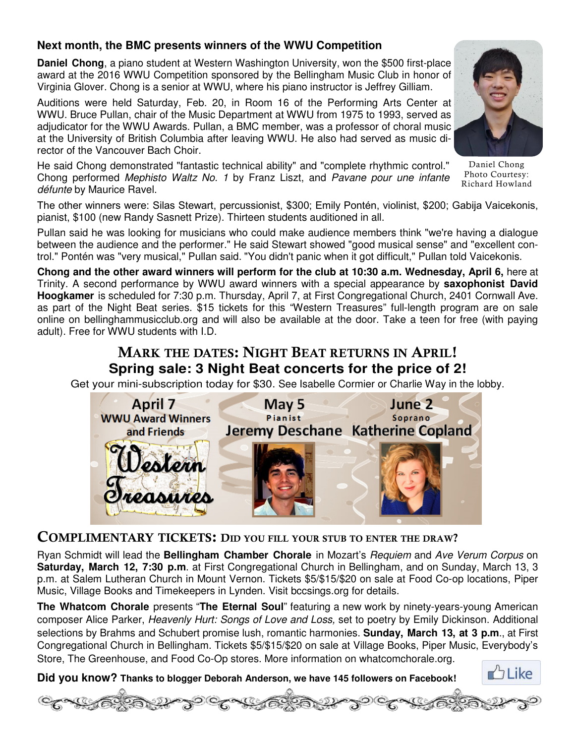#### **Next month, the BMC presents winners of the WWU Competition**

**Daniel Chong**, a piano student at Western Washington University, won the \$500 first-place award at the 2016 WWU Competition sponsored by the Bellingham Music Club in honor of Virginia Glover. Chong is a senior at WWU, where his piano instructor is Jeffrey Gilliam.

Auditions were held Saturday, Feb. 20, in Room 16 of the Performing Arts Center at WWU. Bruce Pullan, chair of the Music Department at WWU from 1975 to 1993, served as adjudicator for the WWU Awards. Pullan, a BMC member, was a professor of choral music at the University of British Columbia after leaving WWU. He also had served as music director of the Vancouver Bach Choir.

He said Chong demonstrated "fantastic technical ability" and "complete rhythmic control." Chong performed Mephisto Waltz No. 1 by Franz Liszt, and Pavane pour une infante défunte by Maurice Ravel.

The other winners were: Silas Stewart, percussionist, \$300; Emily Pontén, violinist, \$200; Gabija Vaicekonis, pianist, \$100 (new Randy Sasnett Prize). Thirteen students auditioned in all.

Pullan said he was looking for musicians who could make audience members think "we're having a dialogue between the audience and the performer." He said Stewart showed "good musical sense" and "excellent control." Pontén was "very musical," Pullan said. "You didn't panic when it got difficult," Pullan told Vaicekonis.

**Chong and the other award winners will perform for the club at 10:30 a.m. Wednesday, April 6,** here at Trinity. A second performance by WWU award winners with a special appearance by **saxophonist David Hoogkamer** is scheduled for 7:30 p.m. Thursday, April 7, at First Congregational Church, 2401 Cornwall Ave. as part of the Night Beat series. \$15 tickets for this "Western Treasures" full-length program are on sale online on bellinghammusicclub.org and will also be available at the door. Take a teen for free (with paying adult). Free for WWU students with I.D.

#### **MARK THE DATES: NIGHT BEAT RETURNS IN APRIL! Spring sale: 3 Night Beat concerts for the price of 2!**

Get your mini-subscription today for \$30. See Isabelle Cormier or Charlie Way in the lobby.

May 5

**Pianist** 

June 2

Soprano

Jeremy Deschane Katherine Copland



#### **COMPLIMENTARY TICKETS: DID YOU FILL YOUR STUB TO ENTER THE DRAW?**

April 7

**WWU Award Winners** 

and Friends

Ryan Schmidt will lead the **Bellingham Chamber Chorale** in Mozart's Requiem and Ave Verum Corpus on **Saturday, March 12, 7:30 p.m**. at First Congregational Church in Bellingham, and on Sunday, March 13, 3 p.m. at Salem Lutheran Church in Mount Vernon. Tickets \$5/\$15/\$20 on sale at Food Co-op locations, Piper Music, Village Books and Timekeepers in Lynden. Visit bccsings.org for details.

**The Whatcom Chorale** presents "**The Eternal Soul**" featuring a new work by ninety-years-young American composer Alice Parker, Heavenly Hurt: Songs of Love and Loss, set to poetry by Emily Dickinson. Additional selections by Brahms and Schubert promise lush, romantic harmonies. **Sunday, March 13, at 3 p.m**., at First Congregational Church in Bellingham. Tickets \$5/\$15/\$20 on sale at Village Books, Piper Music, Everybody's Store, The Greenhouse, and Food Co-Op stores. More information on whatcomchorale.org.

**Did you know? Thanks to blogger Deborah Anderson, we have 145 followers on Facebook!** 







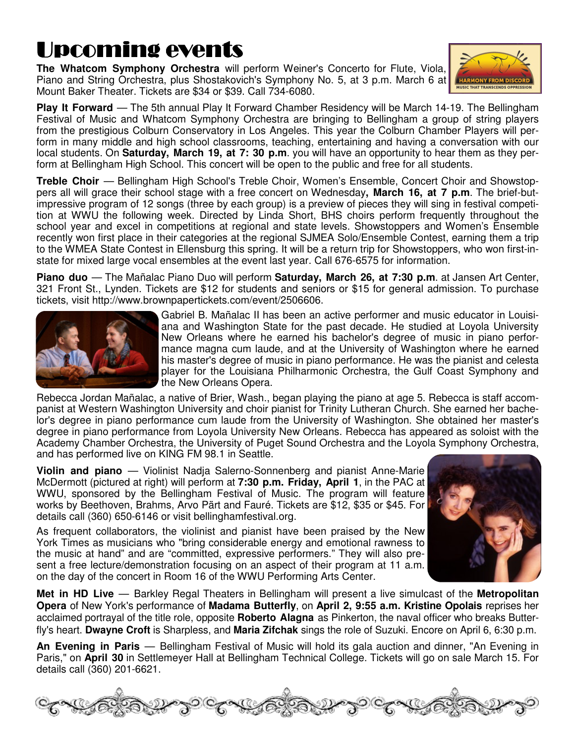# Upcoming events

**The Whatcom Symphony Orchestra** will perform Weiner's Concerto for Flute, Viola, Piano and String Orchestra, plus Shostakovich's Symphony No. 5, at 3 p.m. March 6 at Mount Baker Theater. Tickets are \$34 or \$39. Call 734-6080.



**Play It Forward** — The 5th annual Play It Forward Chamber Residency will be March 14-19. The Bellingham Festival of Music and Whatcom Symphony Orchestra are bringing to Bellingham a group of string players from the prestigious Colburn Conservatory in Los Angeles. This year the Colburn Chamber Players will perform in many middle and high school classrooms, teaching, entertaining and having a conversation with our local students. On **Saturday, March 19, at 7: 30 p.m**. you will have an opportunity to hear them as they perform at Bellingham High School. This concert will be open to the public and free for all students.

**Treble Choir** — Bellingham High School's Treble Choir, Women's Ensemble, Concert Choir and Showstoppers all will grace their school stage with a free concert on Wednesday**, March 16, at 7 p.m**. The brief-butimpressive program of 12 songs (three by each group) is a preview of pieces they will sing in festival competition at WWU the following week. Directed by Linda Short, BHS choirs perform frequently throughout the school year and excel in competitions at regional and state levels. Showstoppers and Women's Ensemble recently won first place in their categories at the regional SJMEA Solo/Ensemble Contest, earning them a trip to the WMEA State Contest in Ellensburg this spring. It will be a return trip for Showstoppers, who won first-instate for mixed large vocal ensembles at the event last year. Call 676-6575 for information.

**Piano duo** — The Mañalac Piano Duo will perform **Saturday, March 26, at 7:30 p.m**. at Jansen Art Center, 321 Front St., Lynden. Tickets are \$12 for students and seniors or \$15 for general admission. To purchase tickets, visit http://www.brownpapertickets.com/event/2506606.



Gabriel B. Mañalac II has been an active performer and music educator in Louisiana and Washington State for the past decade. He studied at Loyola University New Orleans where he earned his bachelor's degree of music in piano performance magna cum laude, and at the University of Washington where he earned his master's degree of music in piano performance. He was the pianist and celesta player for the Louisiana Philharmonic Orchestra, the Gulf Coast Symphony and the New Orleans Opera.

Rebecca Jordan Mañalac, a native of Brier, Wash., began playing the piano at age 5. Rebecca is staff accompanist at Western Washington University and choir pianist for Trinity Lutheran Church. She earned her bachelor's degree in piano performance cum laude from the University of Washington. She obtained her master's degree in piano performance from Loyola University New Orleans. Rebecca has appeared as soloist with the Academy Chamber Orchestra, the University of Puget Sound Orchestra and the Loyola Symphony Orchestra, and has performed live on KING FM 98.1 in Seattle.

**Violin and piano** — Violinist Nadja Salerno-Sonnenberg and pianist Anne-Marie McDermott (pictured at right) will perform at **7:30 p.m. Friday, April 1**, in the PAC at WWU, sponsored by the Bellingham Festival of Music. The program will feature works by Beethoven, Brahms, Arvo Pärt and Fauré. Tickets are \$12, \$35 or \$45. For details call (360) 650-6146 or visit bellinghamfestival.org.

As frequent collaborators, the violinist and pianist have been praised by the New York Times as musicians who "bring considerable energy and emotional rawness to the music at hand" and are "committed, expressive performers." They will also present a free lecture/demonstration focusing on an aspect of their program at 11 a.m. on the day of the concert in Room 16 of the WWU Performing Arts Center.



**Met in HD Live** — Barkley Regal Theaters in Bellingham will present a live simulcast of the **Metropolitan Opera** of New York's performance of **Madama Butterfly**, on **April 2, 9:55 a.m. Kristine Opolais** reprises her acclaimed portrayal of the title role, opposite **Roberto Alagna** as Pinkerton, the naval officer who breaks Butterfly's heart. **Dwayne Croft** is Sharpless, and **Maria Zifchak** sings the role of Suzuki. Encore on April 6, 6:30 p.m.

**An Evening in Paris** — Bellingham Festival of Music will hold its gala auction and dinner, "An Evening in Paris," on **April 30** in Settlemeyer Hall at Bellingham Technical College. Tickets will go on sale March 15. For details call (360) 201-6621.

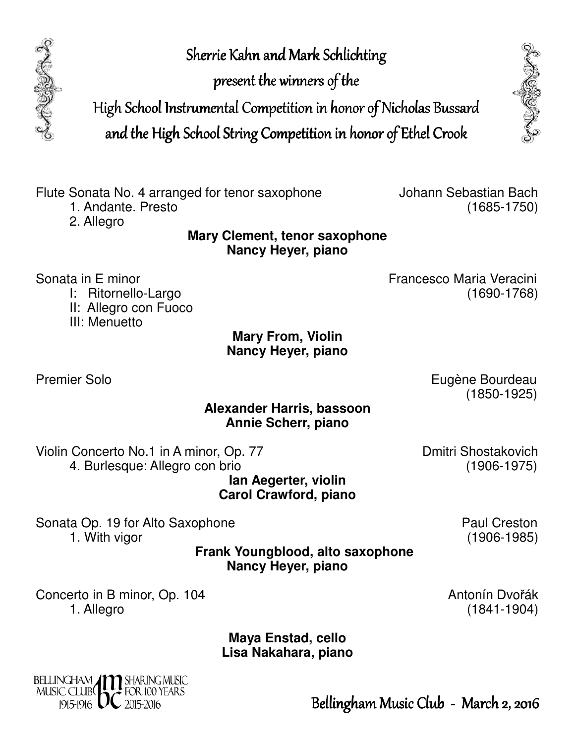Sherrie Kahn and Mark Schlichting

present the winners of the

High School Instrumental Competition in honor of Nicholas Bussard

and the High School String Competition in honor of Ethel Crook



1. Andante. Presto

2. Allegro

**Mary Clement, tenor saxophone Nancy Heyer, piano** 

Sonata in E minor **Francesco Maria Veracini Francesco Maria Veracini** 

- I: Ritornello-Largo (1690-1768)
- II: Allegro con Fuoco
- III: Menuetto

#### **Mary From, Violin Nancy Heyer, piano**

Premier Solo **Eugène Bourdeau** (1850-1925)

#### **Alexander Harris, bassoon Annie Scherr, piano**

Violin Concerto No.1 in A minor, Op. 77 Dinitri Shostakovich 4. Burlesque: Allegro con brio (1906-1975)

**Ian Aegerter, violin Carol Crawford, piano** 

Sonata Op. 19 for Alto Saxophone **Paul Creston** 1. With vigor (1906-1985)

> **Frank Youngblood, alto saxophone Nancy Heyer, piano**

Concerto in B minor, Op. 104 Antonín Dvořák 1. Allegro (1841-1904)

> **Maya Enstad, cello Lisa Nakahara, piano**



Bellingham Music Club - March 2, 2016